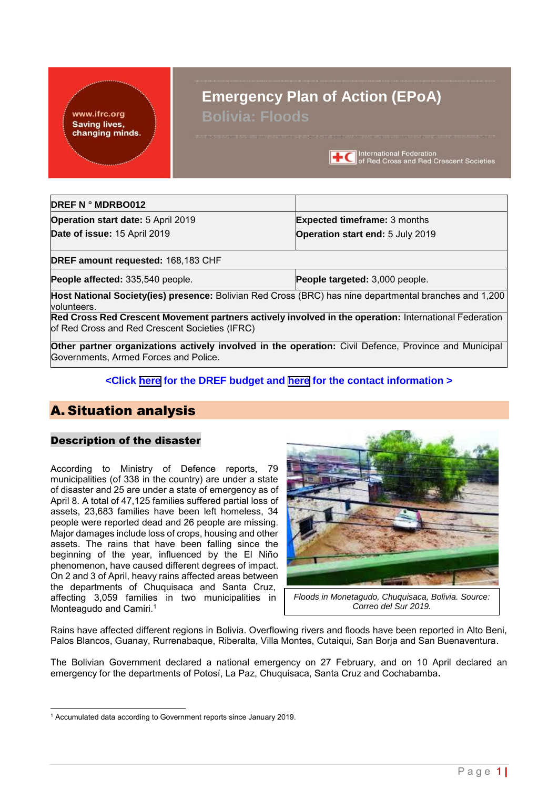www.ifrc.org **Saving lives,** changing minds.

# **Emergency Plan of Action (EPoA) Bolivia: Floods**

**TC** International Federation<br>
of Red Cross and Red Crescent Societies

| <b>DREF N º MDRBO012</b>                                                                                                                                |                                         |
|---------------------------------------------------------------------------------------------------------------------------------------------------------|-----------------------------------------|
| <b>Operation start date: 5 April 2019</b>                                                                                                               | <b>Expected timeframe: 3 months</b>     |
| Date of issue: 15 April 2019                                                                                                                            | <b>Operation start end: 5 July 2019</b> |
| DREF amount requested: 168,183 CHF                                                                                                                      |                                         |
| People affected: 335,540 people.                                                                                                                        | People targeted: 3,000 people.          |
| Host National Society(ies) presence: Bolivian Red Cross (BRC) has nine departmental branches and 1,200<br>volunteers.                                   |                                         |
| Red Cross Red Crescent Movement partners actively involved in the operation: International Federation<br>of Red Cross and Red Crescent Societies (IFRC) |                                         |
| <b>Other partner organizations actively involved in the operation:</b> Civil Defence, Province and Municipal                                            |                                         |

**Other partner organizations actively involved in the operation:** Civil Defence, Province and Municipal Governments, Armed Forces and Police.

## **<Click [here](#page-13-0) for the DREF budget and [here](#page-11-0) for the contact information >**

# A. Situation analysis

## Description of the disaster

According to Ministry of Defence reports, 79 municipalities (of 338 in the country) are under a state of disaster and 25 are under a state of emergency as of April 8. A total of 47,125 families suffered partial loss of assets, 23,683 families have been left homeless, 34 people were reported dead and 26 people are missing. Major damages include loss of crops, housing and other assets. The rains that have been falling since the beginning of the year, influenced by the El Niño phenomenon, have caused different degrees of impact. On 2 and 3 of April, heavy rains affected areas between the departments of Chuquisaca and Santa Cruz, affecting 3,059 families in two municipalities in Monteagudo and Camiri. 1



*Floods in Monetagudo, Chuquisaca, Bolivia. Source: Correo del Sur 2019.*

Rains have affected different regions in Bolivia. Overflowing rivers and floods have been reported in Alto Beni, Palos Blancos, Guanay, Rurrenabaque, Riberalta, Villa Montes, Cutaiqui, San Borja and San Buenaventura.

The Bolivian Government declared a national emergency on 27 February, and on 10 April declared an emergency for the departments of Potosí, La Paz, Chuquisaca, Santa Cruz and Cochabamba**.**

<sup>-</sup><sup>1</sup> Accumulated data according to Government reports since January 2019.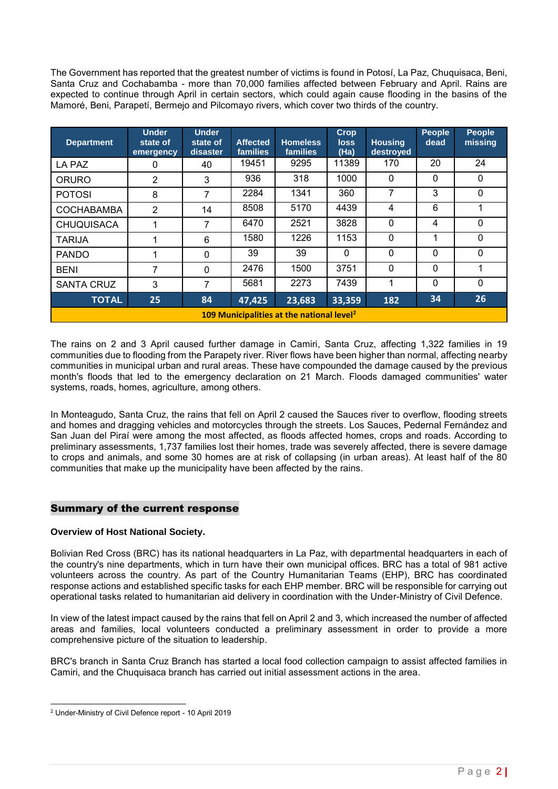The Government has reported that the greatest number of victims is found in Potosí, La Paz, Chuquisaca, Beni, Santa Cruz and Cochabamba - more than 70,000 families affected between February and April. Rains are expected to continue through April in certain sectors, which could again cause flooding in the basins of the Mamoré, Beni, Parapetí, Bermejo and Pilcomayo rivers, which cover two thirds of the country.

| <b>Department</b>                                                    | <b>Under</b><br>state of<br>emergency                     | <b>Under</b><br>state of<br>disaster | <b>Affected</b><br>families | <b>Homeless</b><br>families | <b>Crop</b><br><b>loss</b><br>(Ha) | <b>Housing</b><br>destroyed | <b>People</b><br>dead | <b>People</b><br>missing |  |  |  |  |  |
|----------------------------------------------------------------------|-----------------------------------------------------------|--------------------------------------|-----------------------------|-----------------------------|------------------------------------|-----------------------------|-----------------------|--------------------------|--|--|--|--|--|
| LA PAZ                                                               | 0                                                         | 40                                   | 19451                       | 9295                        | 11389                              | 170                         | 20                    | 24                       |  |  |  |  |  |
| <b>ORURO</b>                                                         | 2                                                         | 3                                    | 936                         | 318                         | 1000                               | $\Omega$                    | 0                     | $\Omega$                 |  |  |  |  |  |
| 7<br>3<br>2284<br>1341<br>360<br>$\Omega$<br>8<br>7<br><b>POTOSI</b> |                                                           |                                      |                             |                             |                                    |                             |                       |                          |  |  |  |  |  |
| <b>COCHABAMBA</b>                                                    | $\overline{2}$                                            | 14                                   | 8508                        | 5170                        | 4439                               | 4                           | 6                     |                          |  |  |  |  |  |
| <b>CHUQUISACA</b>                                                    |                                                           | 7                                    | 6470                        | 2521                        | 3828                               | $\mathbf{0}$                | 4                     | $\Omega$                 |  |  |  |  |  |
| <b>TARIJA</b>                                                        |                                                           | 6                                    | 1580                        | 1226                        | 1153                               | $\mathbf{0}$                | 1                     | $\mathbf{0}$             |  |  |  |  |  |
| <b>PANDO</b>                                                         |                                                           | 0                                    | 39                          | 39                          | 0                                  | $\Omega$                    | 0                     | $\Omega$                 |  |  |  |  |  |
| <b>BENI</b>                                                          | 7                                                         | 0                                    | 2476                        | 1500                        | 3751                               | $\Omega$                    | 0                     |                          |  |  |  |  |  |
| <b>SANTA CRUZ</b>                                                    | 3                                                         | 7                                    | 5681                        | 2273                        | 7439                               | 1                           | 0                     | $\Omega$                 |  |  |  |  |  |
| <b>TOTAL</b>                                                         | 34<br>26<br>25<br>84<br>47,425<br>23,683<br>33,359<br>182 |                                      |                             |                             |                                    |                             |                       |                          |  |  |  |  |  |
| 109 Municipalities at the national level <sup>2</sup>                |                                                           |                                      |                             |                             |                                    |                             |                       |                          |  |  |  |  |  |

The rains on 2 and 3 April caused further damage in Camiri, Santa Cruz, affecting 1,322 families in 19 communities due to flooding from the Parapety river. River flows have been higher than normal, affecting nearby communities in municipal urban and rural areas. These have compounded the damage caused by the previous month's floods that led to the emergency declaration on 21 March. Floods damaged communities' water systems, roads, homes, agriculture, among others.

In Monteagudo, Santa Cruz, the rains that fell on April 2 caused the Sauces river to overflow, flooding streets and homes and dragging vehicles and motorcycles through the streets. Los Sauces, Pedernal Fernández and San Juan del Piraí were among the most affected, as floods affected homes, crops and roads. According to preliminary assessments, 1,737 families lost their homes, trade was severely affected, there is severe damage to crops and animals, and some 30 homes are at risk of collapsing (in urban areas). At least half of the 80 communities that make up the municipality have been affected by the rains.

## Summary of the current response

## **Overview of Host National Society.**

Bolivian Red Cross (BRC) has its national headquarters in La Paz, with departmental headquarters in each of the country's nine departments, which in turn have their own municipal offices. BRC has a total of 981 active volunteers across the country. As part of the Country Humanitarian Teams (EHP), BRC has coordinated response actions and established specific tasks for each EHP member. BRC will be responsible for carrying out operational tasks related to humanitarian aid delivery in coordination with the Under-Ministry of Civil Defence.

In view of the latest impact caused by the rains that fell on April 2 and 3, which increased the number of affected areas and families, local volunteers conducted a preliminary assessment in order to provide a more comprehensive picture of the situation to leadership.

BRC's branch in Santa Cruz Branch has started a local food collection campaign to assist affected families in Camiri, and the Chuquisaca branch has carried out initial assessment actions in the area.

<sup>-</sup><sup>2</sup> Under-Ministry of Civil Defence report - 10 April 2019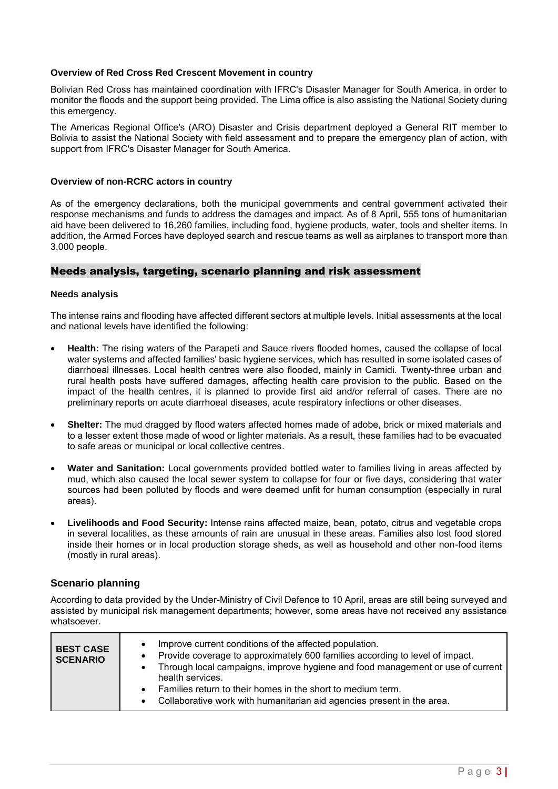#### **Overview of Red Cross Red Crescent Movement in country**

Bolivian Red Cross has maintained coordination with IFRC's Disaster Manager for South America, in order to monitor the floods and the support being provided. The Lima office is also assisting the National Society during this emergency.

The Americas Regional Office's (ARO) Disaster and Crisis department deployed a General RIT member to Bolivia to assist the National Society with field assessment and to prepare the emergency plan of action, with support from IFRC's Disaster Manager for South America.

#### **Overview of non-RCRC actors in country**

As of the emergency declarations, both the municipal governments and central government activated their response mechanisms and funds to address the damages and impact. As of 8 April, 555 tons of humanitarian aid have been delivered to 16,260 families, including food, hygiene products, water, tools and shelter items. In addition, the Armed Forces have deployed search and rescue teams as well as airplanes to transport more than 3,000 people.

#### Needs analysis, targeting, scenario planning and risk assessment

#### **Needs analysis**

The intense rains and flooding have affected different sectors at multiple levels. Initial assessments at the local and national levels have identified the following:

- **Health:** The rising waters of the Parapeti and Sauce rivers flooded homes, caused the collapse of local water systems and affected families' basic hygiene services, which has resulted in some isolated cases of diarrhoeal illnesses. Local health centres were also flooded, mainly in Camidi. Twenty-three urban and rural health posts have suffered damages, affecting health care provision to the public. Based on the impact of the health centres, it is planned to provide first aid and/or referral of cases. There are no preliminary reports on acute diarrhoeal diseases, acute respiratory infections or other diseases.
- **Shelter:** The mud dragged by flood waters affected homes made of adobe, brick or mixed materials and to a lesser extent those made of wood or lighter materials. As a result, these families had to be evacuated to safe areas or municipal or local collective centres.
- **Water and Sanitation:** Local governments provided bottled water to families living in areas affected by mud, which also caused the local sewer system to collapse for four or five days, considering that water sources had been polluted by floods and were deemed unfit for human consumption (especially in rural areas).
- **Livelihoods and Food Security:** Intense rains affected maize, bean, potato, citrus and vegetable crops in several localities, as these amounts of rain are unusual in these areas. Families also lost food stored inside their homes or in local production storage sheds, as well as household and other non-food items (mostly in rural areas).

## **Scenario planning**

According to data provided by the Under-Ministry of Civil Defence to 10 April, areas are still being surveyed and assisted by municipal risk management departments; however, some areas have not received any assistance whatsoever.

| <b>BEST CASE</b><br><b>SCENARIO</b> | Improve current conditions of the affected population.<br>Provide coverage to approximately 600 families according to level of impact.<br>Through local campaigns, improve hygiene and food management or use of current<br>health services.<br>Families return to their homes in the short to medium term. |
|-------------------------------------|-------------------------------------------------------------------------------------------------------------------------------------------------------------------------------------------------------------------------------------------------------------------------------------------------------------|
|                                     | Collaborative work with humanitarian aid agencies present in the area.                                                                                                                                                                                                                                      |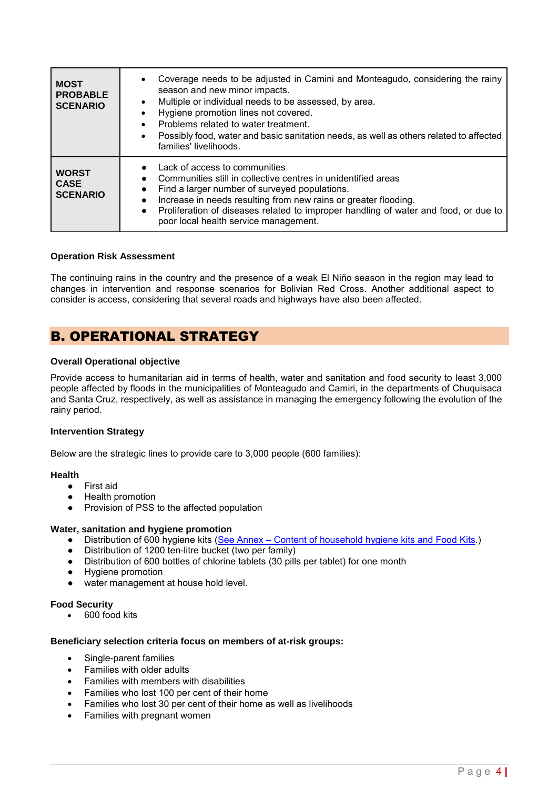| <b>MOST</b><br><b>PROBABLE</b><br><b>SCENARIO</b> | Coverage needs to be adjusted in Camini and Monteagudo, considering the rainy<br>season and new minor impacts.<br>Multiple or individual needs to be assessed, by area.<br>$\bullet$<br>Hygiene promotion lines not covered.<br>Problems related to water treatment.<br>Possibly food, water and basic sanitation needs, as well as others related to affected<br>families' livelihoods. |
|---------------------------------------------------|------------------------------------------------------------------------------------------------------------------------------------------------------------------------------------------------------------------------------------------------------------------------------------------------------------------------------------------------------------------------------------------|
| <b>WORST</b><br><b>CASE</b><br><b>SCENARIO</b>    | • Lack of access to communities<br>Communities still in collective centres in unidentified areas<br>Find a larger number of surveyed populations.<br>Increase in needs resulting from new rains or greater flooding.<br>$\bullet$<br>• Proliferation of diseases related to improper handling of water and food, or due to<br>poor local health service management.                      |

#### **Operation Risk Assessment**

The continuing rains in the country and the presence of a weak El Niño season in the region may lead to changes in intervention and response scenarios for Bolivian Red Cross. Another additional aspect to consider is access, considering that several roads and highways have also been affected.

# B. OPERATIONAL STRATEGY

#### **Overall Operational objective**

Provide access to humanitarian aid in terms of health, water and sanitation and food security to least 3,000 people affected by floods in the municipalities of Monteagudo and Camiri, in the departments of Chuquisaca and Santa Cruz, respectively, as well as assistance in managing the emergency following the evolution of the rainy period.

#### **Intervention Strategy**

Below are the strategic lines to provide care to 3,000 people (600 families):

#### **Health**

- First aid
- Health promotion
- Provision of PSS to the affected population

#### **Water, sanitation and hygiene promotion**

- Distribution of 600 hygiene kits (See Annex Content of household hygiene kits and Food Kits.)
- Distribution of 1200 ten-litre bucket (two per family)
- Distribution of 600 bottles of chlorine tablets (30 pills per tablet) for one month
- Hygiene promotion
- water management at house hold level.

#### **Food Security**

• 600 food kits

#### **Beneficiary selection criteria focus on members of at-risk groups:**

- Single-parent families
- Families with older adults
- Families with members with disabilities
- Families who lost 100 per cent of their home
- Families who lost 30 per cent of their home as well as livelihoods
- Families with pregnant women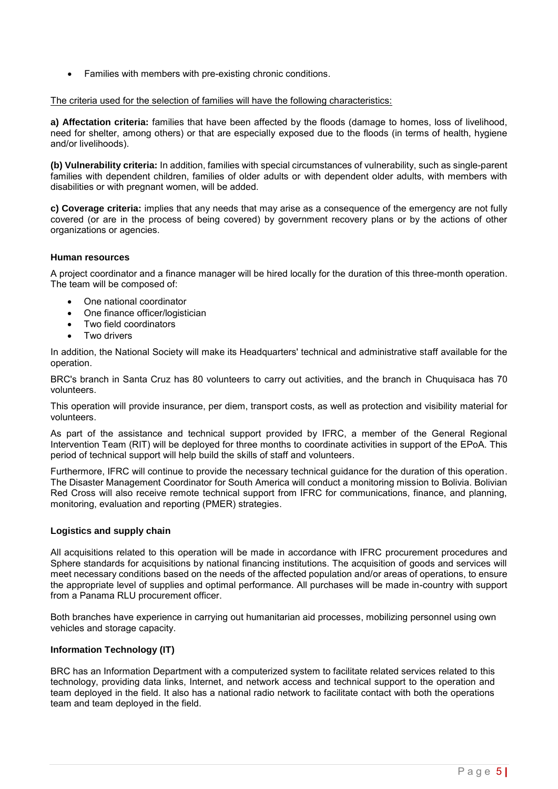• Families with members with pre-existing chronic conditions.

#### The criteria used for the selection of families will have the following characteristics:

**a) Affectation criteria:** families that have been affected by the floods (damage to homes, loss of livelihood, need for shelter, among others) or that are especially exposed due to the floods (in terms of health, hygiene and/or livelihoods).

**(b) Vulnerability criteria:** In addition, families with special circumstances of vulnerability, such as single-parent families with dependent children, families of older adults or with dependent older adults, with members with disabilities or with pregnant women, will be added.

**c) Coverage criteria:** implies that any needs that may arise as a consequence of the emergency are not fully covered (or are in the process of being covered) by government recovery plans or by the actions of other organizations or agencies.

## **Human resources**

A project coordinator and a finance manager will be hired locally for the duration of this three-month operation. The team will be composed of:

- One national coordinator
- One finance officer/logistician
- Two field coordinators
- Two drivers

In addition, the National Society will make its Headquarters' technical and administrative staff available for the operation.

BRC's branch in Santa Cruz has 80 volunteers to carry out activities, and the branch in Chuquisaca has 70 volunteers.

This operation will provide insurance, per diem, transport costs, as well as protection and visibility material for volunteers.

As part of the assistance and technical support provided by IFRC, a member of the General Regional Intervention Team (RIT) will be deployed for three months to coordinate activities in support of the EPoA. This period of technical support will help build the skills of staff and volunteers.

Furthermore, IFRC will continue to provide the necessary technical guidance for the duration of this operation. The Disaster Management Coordinator for South America will conduct a monitoring mission to Bolivia. Bolivian Red Cross will also receive remote technical support from IFRC for communications, finance, and planning, monitoring, evaluation and reporting (PMER) strategies.

#### **Logistics and supply chain**

All acquisitions related to this operation will be made in accordance with IFRC procurement procedures and Sphere standards for acquisitions by national financing institutions. The acquisition of goods and services will meet necessary conditions based on the needs of the affected population and/or areas of operations, to ensure the appropriate level of supplies and optimal performance. All purchases will be made in-country with support from a Panama RLU procurement officer.

Both branches have experience in carrying out humanitarian aid processes, mobilizing personnel using own vehicles and storage capacity.

## **Information Technology (IT)**

BRC has an Information Department with a computerized system to facilitate related services related to this technology, providing data links, Internet, and network access and technical support to the operation and team deployed in the field. It also has a national radio network to facilitate contact with both the operations team and team deployed in the field.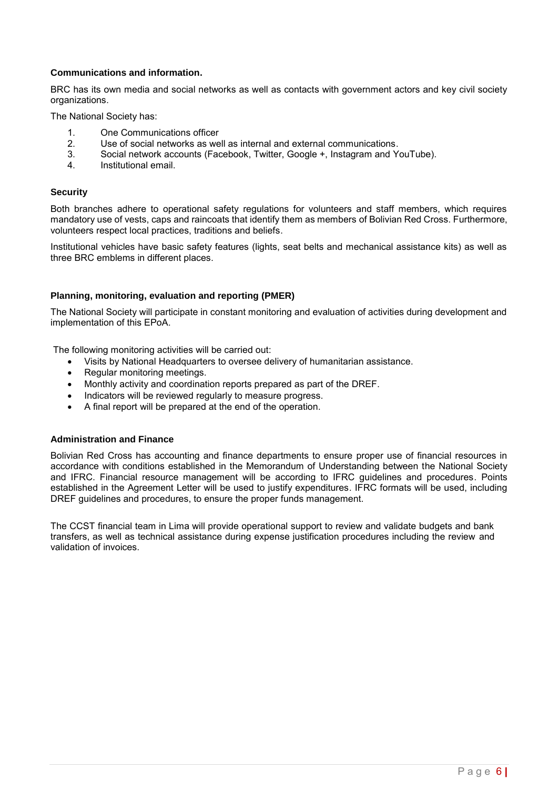## **Communications and information.**

BRC has its own media and social networks as well as contacts with government actors and key civil society organizations.

The National Society has:

- 1. One Communications officer<br>2. Use of social networks as we
- 2. Use of social networks as well as internal and external communications.<br>2. Social network accounts (Facebook, Twitter, Google +, Instagram and Y
- 3. Social network accounts (Facebook, Twitter, Google +, Instagram and YouTube).
- 4. Institutional email.

#### **Security**

Both branches adhere to operational safety regulations for volunteers and staff members, which requires mandatory use of vests, caps and raincoats that identify them as members of Bolivian Red Cross. Furthermore, volunteers respect local practices, traditions and beliefs.

Institutional vehicles have basic safety features (lights, seat belts and mechanical assistance kits) as well as three BRC emblems in different places.

#### **Planning, monitoring, evaluation and reporting (PMER)**

The National Society will participate in constant monitoring and evaluation of activities during development and implementation of this EPoA.

The following monitoring activities will be carried out:

- Visits by National Headquarters to oversee delivery of humanitarian assistance.
- Regular monitoring meetings.
- Monthly activity and coordination reports prepared as part of the DREF.
- Indicators will be reviewed regularly to measure progress.
- A final report will be prepared at the end of the operation.

#### **Administration and Finance**

Bolivian Red Cross has accounting and finance departments to ensure proper use of financial resources in accordance with conditions established in the Memorandum of Understanding between the National Society and IFRC. Financial resource management will be according to IFRC guidelines and procedures. Points established in the Agreement Letter will be used to justify expenditures. IFRC formats will be used, including DREF guidelines and procedures, to ensure the proper funds management.

The CCST financial team in Lima will provide operational support to review and validate budgets and bank transfers, as well as technical assistance during expense justification procedures including the review and validation of invoices.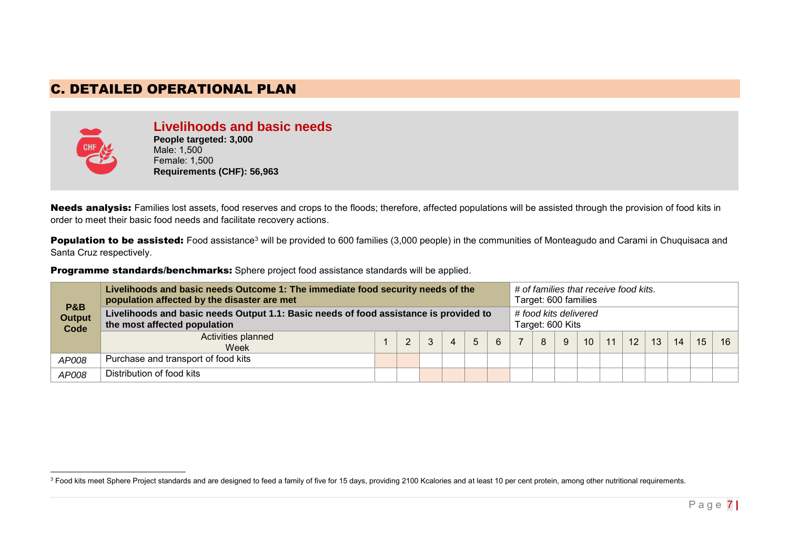# C. DETAILED OPERATIONAL PLAN



**Livelihoods and basic needs People targeted: 3,000** Male: 1,500 Female: 1,500 **Requirements (CHF): 56,963**

Needs analysis: Families lost assets, food reserves and crops to the floods; therefore, affected populations will be assisted through the provision of food kits in order to meet their basic food needs and facilitate recovery actions.

Population to be assisted: Food assistance<sup>3</sup> will be provided to 600 families (3,000 people) in the communities of Monteagudo and Carami in Chuquisaca and Santa Cruz respectively.

Programme standards/benchmarks: Sphere project food assistance standards will be applied.

| <b>P&amp;B</b><br><b>Output</b><br>Code | Livelihoods and basic needs Outcome 1: The immediate food security needs of the<br>population affected by the disaster are met |  |   |   |            |             |   |                | Target: 600 families                      |   |                 | # of families that receive food kits. |    |    |    |    |    |
|-----------------------------------------|--------------------------------------------------------------------------------------------------------------------------------|--|---|---|------------|-------------|---|----------------|-------------------------------------------|---|-----------------|---------------------------------------|----|----|----|----|----|
|                                         | Livelihoods and basic needs Output 1.1: Basic needs of food assistance is provided to<br>the most affected population          |  |   |   |            |             |   |                | # food kits delivered<br>Target: 600 Kits |   |                 |                                       |    |    |    |    |    |
|                                         | Activities planned<br>Week                                                                                                     |  | 2 | 3 | $\sqrt{4}$ | $5^{\circ}$ | 6 | $\overline{7}$ | 8                                         | 9 | 10 <sup>1</sup> | 11                                    | 12 | 13 | 14 | 15 | 16 |
| AP008                                   | Purchase and transport of food kits                                                                                            |  |   |   |            |             |   |                |                                           |   |                 |                                       |    |    |    |    |    |
| AP008                                   | Distribution of food kits                                                                                                      |  |   |   |            |             |   |                |                                           |   |                 |                                       |    |    |    |    |    |

<sup>-</sup> $^3$  Food kits meet Sphere Project standards and are designed to feed a family of five for 15 days, providing 2100 Kcalories and at least 10 per cent protein, among other nutritional requirements.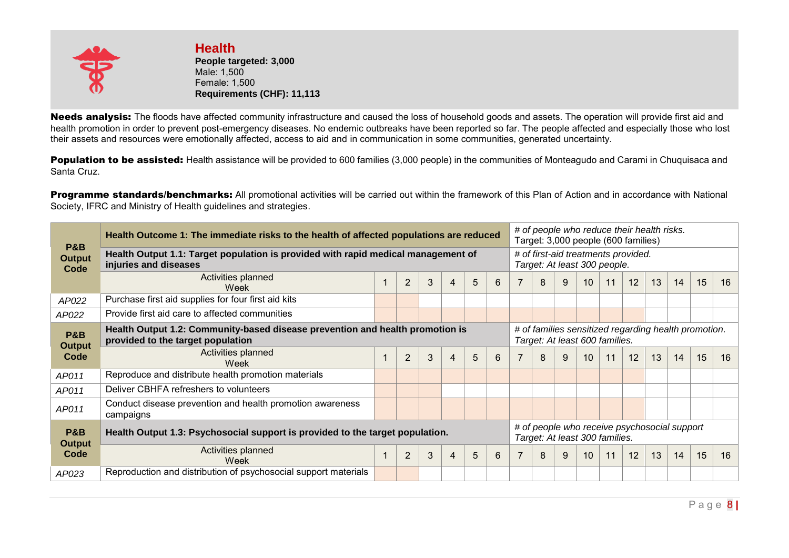

**Health People targeted: 3,000**  Male: 1,500 Female: 1,500 **Requirements (CHF): 11,113**

Needs analysis: The floods have affected community infrastructure and caused the loss of household goods and assets. The operation will provide first aid and health promotion in order to prevent post-emergency diseases. No endemic outbreaks have been reported so far. The people affected and especially those who lost their assets and resources were emotionally affected, access to aid and in communication in some communities, generated uncertainty.

Population to be assisted: Health assistance will be provided to 600 families (3,000 people) in the communities of Monteagudo and Carami in Chuquisaca and Santa Cruz.

Programme standards/benchmarks: All promotional activities will be carried out within the framework of this Plan of Action and in accordance with National Society, IFRC and Ministry of Health guidelines and strategies.

| <b>P&amp;B</b>                                                                                        | Health Outcome 1: The immediate risks to the health of affected populations are reduced                            |  |                |   |   |   |                                |                                                                                        | # of people who reduce their health risks.<br>Target: 3,000 people (600 families) |                                              |    |    |                                     |    |    |    |    |  |  |
|-------------------------------------------------------------------------------------------------------|--------------------------------------------------------------------------------------------------------------------|--|----------------|---|---|---|--------------------------------|----------------------------------------------------------------------------------------|-----------------------------------------------------------------------------------|----------------------------------------------|----|----|-------------------------------------|----|----|----|----|--|--|
| <b>Output</b><br>Code                                                                                 | Health Output 1.1: Target population is provided with rapid medical management of<br>injuries and diseases         |  |                |   |   |   |                                |                                                                                        |                                                                                   | Target: At least 300 people.                 |    |    | # of first-aid treatments provided. |    |    |    |    |  |  |
|                                                                                                       | Activities planned<br>Week                                                                                         |  | $\overline{2}$ | 3 | 4 | 5 | 6                              |                                                                                        | 8                                                                                 | 9                                            | 10 | 11 | 12                                  | 13 | 14 | 15 | 16 |  |  |
| AP022                                                                                                 | Purchase first aid supplies for four first aid kits                                                                |  |                |   |   |   |                                |                                                                                        |                                                                                   |                                              |    |    |                                     |    |    |    |    |  |  |
| AP022                                                                                                 | Provide first aid care to affected communities                                                                     |  |                |   |   |   |                                |                                                                                        |                                                                                   |                                              |    |    |                                     |    |    |    |    |  |  |
| <b>P&amp;B</b><br><b>Output</b>                                                                       | Health Output 1.2: Community-based disease prevention and health promotion is<br>provided to the target population |  |                |   |   |   |                                | # of families sensitized regarding health promotion.<br>Target: At least 600 families. |                                                                                   |                                              |    |    |                                     |    |    |    |    |  |  |
| Code                                                                                                  | Activities planned<br>Week                                                                                         |  | $\overline{2}$ | 3 | 4 | 5 | 6                              |                                                                                        | 8                                                                                 | 9                                            | 10 | 11 | 12                                  | 13 | 14 | 15 | 16 |  |  |
| AP011                                                                                                 | Reproduce and distribute health promotion materials                                                                |  |                |   |   |   |                                |                                                                                        |                                                                                   |                                              |    |    |                                     |    |    |    |    |  |  |
| AP011                                                                                                 | Deliver CBHFA refreshers to volunteers                                                                             |  |                |   |   |   |                                |                                                                                        |                                                                                   |                                              |    |    |                                     |    |    |    |    |  |  |
| AP011                                                                                                 | Conduct disease prevention and health promotion awareness<br>campaigns                                             |  |                |   |   |   |                                |                                                                                        |                                                                                   |                                              |    |    |                                     |    |    |    |    |  |  |
| P&B<br>Health Output 1.3: Psychosocial support is provided to the target population.<br><b>Output</b> |                                                                                                                    |  |                |   |   |   | Target: At least 300 families. |                                                                                        |                                                                                   | # of people who receive psychosocial support |    |    |                                     |    |    |    |    |  |  |
| Code                                                                                                  | Activities planned<br>3<br>5<br>$\overline{2}$<br>4<br>Week                                                        |  |                |   |   | 6 |                                | 8                                                                                      | 9                                                                                 | 10                                           | 11 | 12 | 13                                  | 14 | 15 | 16 |    |  |  |
| AP023                                                                                                 | Reproduction and distribution of psychosocial support materials                                                    |  |                |   |   |   |                                |                                                                                        |                                                                                   |                                              |    |    |                                     |    |    |    |    |  |  |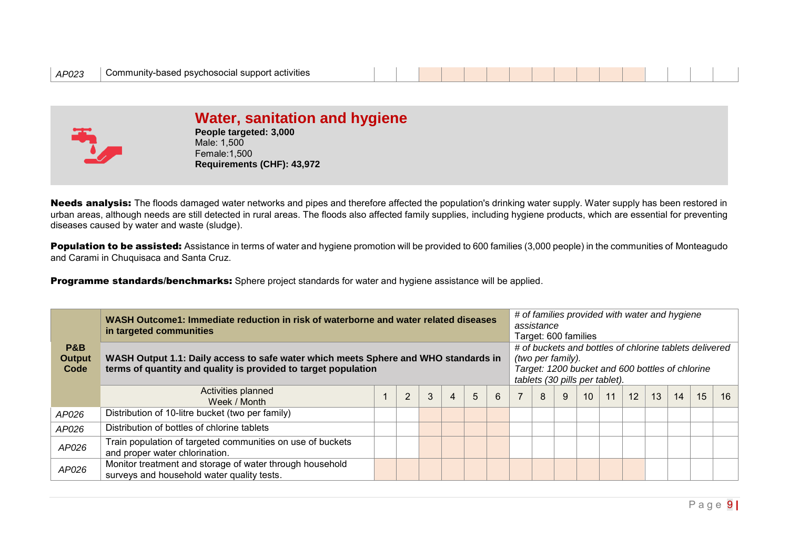

# **Water, sanitation and hygiene**

**People targeted: 3,000** Male: 1,500 Female:1,500 **Requirements (CHF): 43,972**

Needs analysis: The floods damaged water networks and pipes and therefore affected the population's drinking water supply. Water supply has been restored in urban areas, although needs are still detected in rural areas. The floods also affected family supplies, including hygiene products, which are essential for preventing diseases caused by water and waste (sludge).

Population to be assisted: Assistance in terms of water and hygiene promotion will be provided to 600 families (3,000 people) in the communities of Monteagudo and Carami in Chuquisaca and Santa Cruz.

Programme standards/benchmarks: Sphere project standards for water and hygiene assistance will be applied.

|                                         | WASH Outcome1: Immediate reduction in risk of waterborne and water related diseases<br>in targeted communities                                        |  |                |   |   |   |   |                                                                                                                                                                  | assistance<br>Target: 600 families |   |                 |    | # of families provided with water and hygiene |    |    |    |    |  |
|-----------------------------------------|-------------------------------------------------------------------------------------------------------------------------------------------------------|--|----------------|---|---|---|---|------------------------------------------------------------------------------------------------------------------------------------------------------------------|------------------------------------|---|-----------------|----|-----------------------------------------------|----|----|----|----|--|
| <b>P&amp;B</b><br><b>Output</b><br>Code | WASH Output 1.1: Daily access to safe water which meets Sphere and WHO standards in<br>terms of quantity and quality is provided to target population |  |                |   |   |   |   | # of buckets and bottles of chlorine tablets delivered<br>(two per family).<br>Target: 1200 bucket and 600 bottles of chlorine<br>tablets (30 pills per tablet). |                                    |   |                 |    |                                               |    |    |    |    |  |
|                                         | Activities planned<br>Week / Month                                                                                                                    |  | $\overline{2}$ | 3 | 4 | 5 | 6 | $\overline{7}$                                                                                                                                                   | 8                                  | 9 | 10 <sup>1</sup> | 11 | 12                                            | 13 | 14 | 15 | 16 |  |
| AP026                                   | Distribution of 10-litre bucket (two per family)                                                                                                      |  |                |   |   |   |   |                                                                                                                                                                  |                                    |   |                 |    |                                               |    |    |    |    |  |
| AP026                                   | Distribution of bottles of chlorine tablets                                                                                                           |  |                |   |   |   |   |                                                                                                                                                                  |                                    |   |                 |    |                                               |    |    |    |    |  |
| AP026                                   | Train population of targeted communities on use of buckets<br>and proper water chlorination.                                                          |  |                |   |   |   |   |                                                                                                                                                                  |                                    |   |                 |    |                                               |    |    |    |    |  |
| AP026                                   | Monitor treatment and storage of water through household<br>surveys and household water quality tests.                                                |  |                |   |   |   |   |                                                                                                                                                                  |                                    |   |                 |    |                                               |    |    |    |    |  |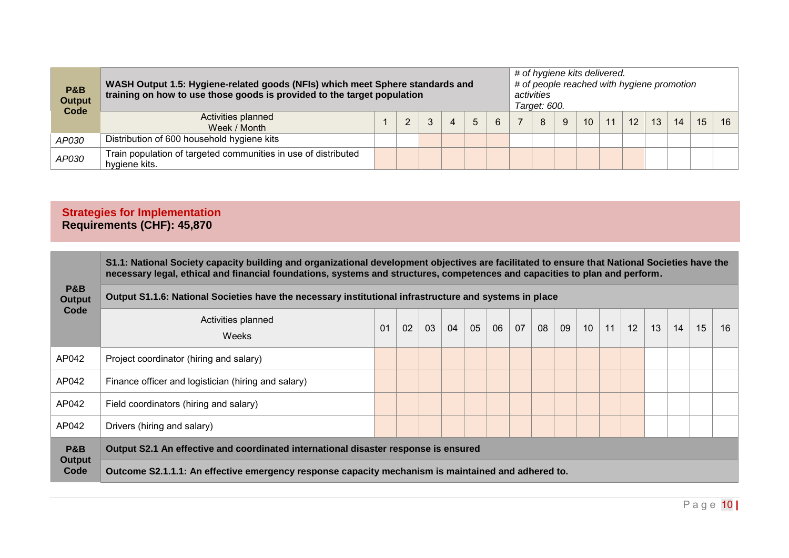| <b>P&amp;B</b><br><b>Output</b><br>Code | WASH Output 1.5: Hygiene-related goods (NFIs) which meet Sphere standards and<br>training on how to use those goods is provided to the target population |  |   |   |   |   | # of hygiene kits delivered.<br>activities<br>Target: 600. |   |    |    | # of people reached with hygiene promotion |    |    |    |    |
|-----------------------------------------|----------------------------------------------------------------------------------------------------------------------------------------------------------|--|---|---|---|---|------------------------------------------------------------|---|----|----|--------------------------------------------|----|----|----|----|
|                                         | Activities planned<br>Week / Month                                                                                                                       |  | 3 | 4 | 5 | 6 | 8                                                          | 9 | 10 | 11 | 12                                         | 13 | 14 | 15 | 16 |
| AP030                                   | Distribution of 600 household hygiene kits                                                                                                               |  |   |   |   |   |                                                            |   |    |    |                                            |    |    |    |    |
| AP030                                   | Train population of targeted communities in use of distributed<br>hygiene kits.                                                                          |  |   |   |   |   |                                                            |   |    |    |                                            |    |    |    |    |

# **Strategies for Implementation Requirements (CHF): 45,870**

|                                 | S1.1: National Society capacity building and organizational development objectives are facilitated to ensure that National Societies have the<br>necessary legal, ethical and financial foundations, systems and structures, competences and capacities to plan and perform. |    |    |    |    |    |    |    |    |    |                 |    |    |    |    |    |    |
|---------------------------------|------------------------------------------------------------------------------------------------------------------------------------------------------------------------------------------------------------------------------------------------------------------------------|----|----|----|----|----|----|----|----|----|-----------------|----|----|----|----|----|----|
| <b>P&amp;B</b><br><b>Output</b> | Output S1.1.6: National Societies have the necessary institutional infrastructure and systems in place                                                                                                                                                                       |    |    |    |    |    |    |    |    |    |                 |    |    |    |    |    |    |
| Code                            | Activities planned<br><b>Weeks</b>                                                                                                                                                                                                                                           | 01 | 02 | 03 | 04 | 05 | 06 | 07 | 08 | 09 | 10 <sup>°</sup> | 11 | 12 | 13 | 14 | 15 | 16 |
| AP042                           | Project coordinator (hiring and salary)                                                                                                                                                                                                                                      |    |    |    |    |    |    |    |    |    |                 |    |    |    |    |    |    |
| AP042                           | Finance officer and logistician (hiring and salary)                                                                                                                                                                                                                          |    |    |    |    |    |    |    |    |    |                 |    |    |    |    |    |    |
| AP042                           | Field coordinators (hiring and salary)                                                                                                                                                                                                                                       |    |    |    |    |    |    |    |    |    |                 |    |    |    |    |    |    |
| AP042                           | Drivers (hiring and salary)                                                                                                                                                                                                                                                  |    |    |    |    |    |    |    |    |    |                 |    |    |    |    |    |    |
| <b>P&amp;B</b>                  | Output S2.1 An effective and coordinated international disaster response is ensured                                                                                                                                                                                          |    |    |    |    |    |    |    |    |    |                 |    |    |    |    |    |    |
| Output<br>Code                  | Outcome S2.1.1.1: An effective emergency response capacity mechanism is maintained and adhered to.                                                                                                                                                                           |    |    |    |    |    |    |    |    |    |                 |    |    |    |    |    |    |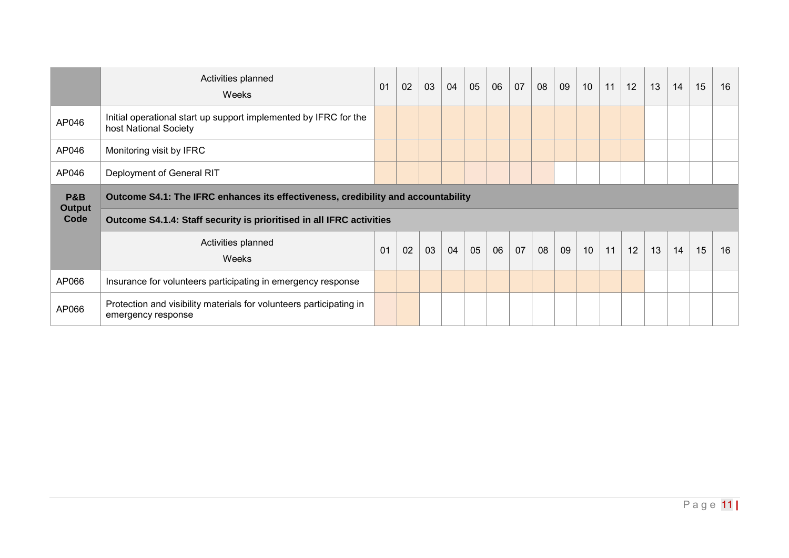|                       | Activities planned<br>Weeks                                                               | 01 | 02 | 03 | 04 | 05 | 06 | 07 | 08 | 09 | 10 <sup>1</sup> | 11 | 12 | 13 | 14 | 15 | 16 |
|-----------------------|-------------------------------------------------------------------------------------------|----|----|----|----|----|----|----|----|----|-----------------|----|----|----|----|----|----|
| AP046                 | Initial operational start up support implemented by IFRC for the<br>host National Society |    |    |    |    |    |    |    |    |    |                 |    |    |    |    |    |    |
| AP046                 | Monitoring visit by IFRC                                                                  |    |    |    |    |    |    |    |    |    |                 |    |    |    |    |    |    |
| AP046                 | Deployment of General RIT                                                                 |    |    |    |    |    |    |    |    |    |                 |    |    |    |    |    |    |
| <b>P&amp;B</b>        | Outcome S4.1: The IFRC enhances its effectiveness, credibility and accountability         |    |    |    |    |    |    |    |    |    |                 |    |    |    |    |    |    |
| <b>Output</b><br>Code | Outcome S4.1.4: Staff security is prioritised in all IFRC activities                      |    |    |    |    |    |    |    |    |    |                 |    |    |    |    |    |    |
|                       | Activities planned<br>Weeks                                                               | 01 | 02 | 03 | 04 | 05 | 06 | 07 | 08 | 09 | 10              | 11 | 12 | 13 | 14 | 15 | 16 |
| AP066                 | Insurance for volunteers participating in emergency response                              |    |    |    |    |    |    |    |    |    |                 |    |    |    |    |    |    |
| AP066                 | Protection and visibility materials for volunteers participating in<br>emergency response |    |    |    |    |    |    |    |    |    |                 |    |    |    |    |    |    |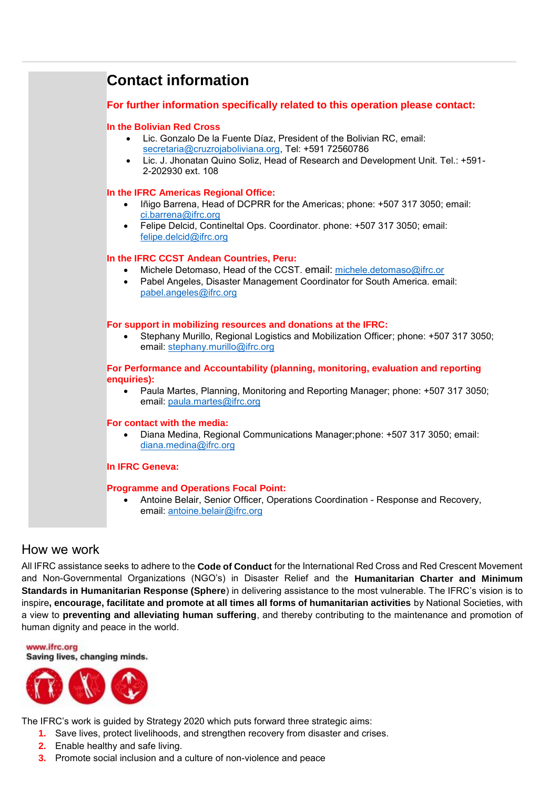<span id="page-11-0"></span>

## How we work

All IFRC assistance seeks to adhere to the **Code of Conduct** for the International Red Cross and Red Crescent Movement and Non-Governmental Organizations (NGO's) in Disaster Relief and the **Humanitarian Charter and Minimum Standards in Humanitarian Response (Sphere**) in delivering assistance to the most vulnerable. The IFRC's vision is to inspire**, encourage, facilitate and promote at all times all forms of humanitarian activities** by National Societies, with a view to **preventing and alleviating human suffering**, and thereby contributing to the maintenance and promotion of human dignity and peace in the world.

www.ifrc.org Saving lives, changing minds.



The IFRC's work is guided by Strategy 2020 which puts forward three strategic aims:

- **1.** Save lives, protect livelihoods, and strengthen recovery from disaster and crises.
- **2.** Enable healthy and safe living.
- **3.** Promote social inclusion and a culture of non-violence and peace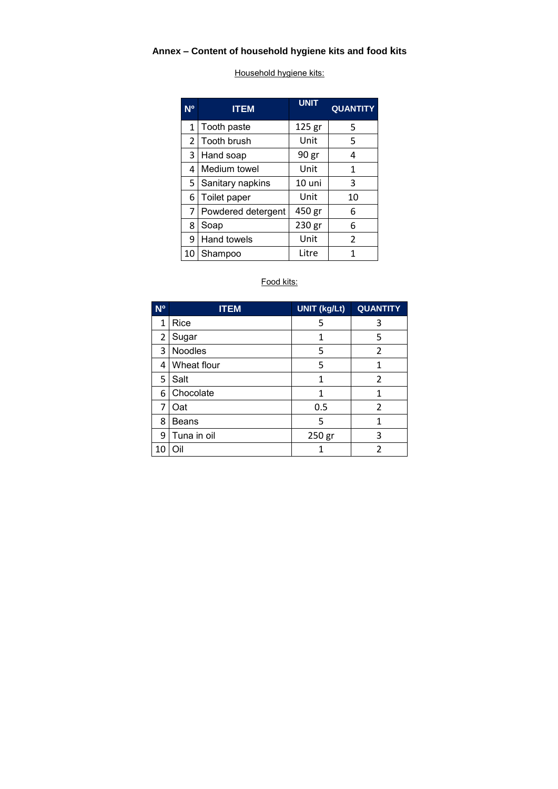# **Annex – Content of household hygiene kits and food kits**

Household hygiene kits:

| N <sup>o</sup> | <b>ITEM</b>        | <b>UNIT</b> | <b>QUANTITY</b> |
|----------------|--------------------|-------------|-----------------|
| 1              | Tooth paste        | 125 gr      | 5               |
| $\overline{2}$ | l Tooth brush      | Unit        | 5               |
| 3              | Hand soap          | 90 gr       | 4               |
| 4              | Medium towel       | Unit        | 1               |
| 5              | Sanitary napkins   | 10 uni      | 3               |
| 6              | Toilet paper       | Unit        | 10              |
| 7              | Powdered detergent | 450 gr      | 6               |
| 8              | Soap               | 230 gr      | 6               |
| 9              | Hand towels        | Unit        | $\mathcal{P}$   |
| 10             | Shampoo            | Litre       |                 |

## Food kits:

| <b>No</b> | <b>ITEM</b>  | <b>UNIT (kg/Lt)</b> | <b>QUANTITY</b> |
|-----------|--------------|---------------------|-----------------|
| 1         | Rice         | 5                   | 3               |
| 2         | Sugar        | 1                   | 5               |
| 3         | Noodles      | 5                   | $\overline{2}$  |
| 4         | Wheat flour  | 5                   | 1               |
| 5         | Salt         | 1                   | 2               |
| 6         | Chocolate    | 1                   | 1               |
| 7         | Oat          | 0.5                 | $\mathfrak{p}$  |
| 8         | <b>Beans</b> | 5                   | 1               |
| 9         | Tuna in oil  | 250 gr              | 3               |
| 10        | Эil          |                     |                 |